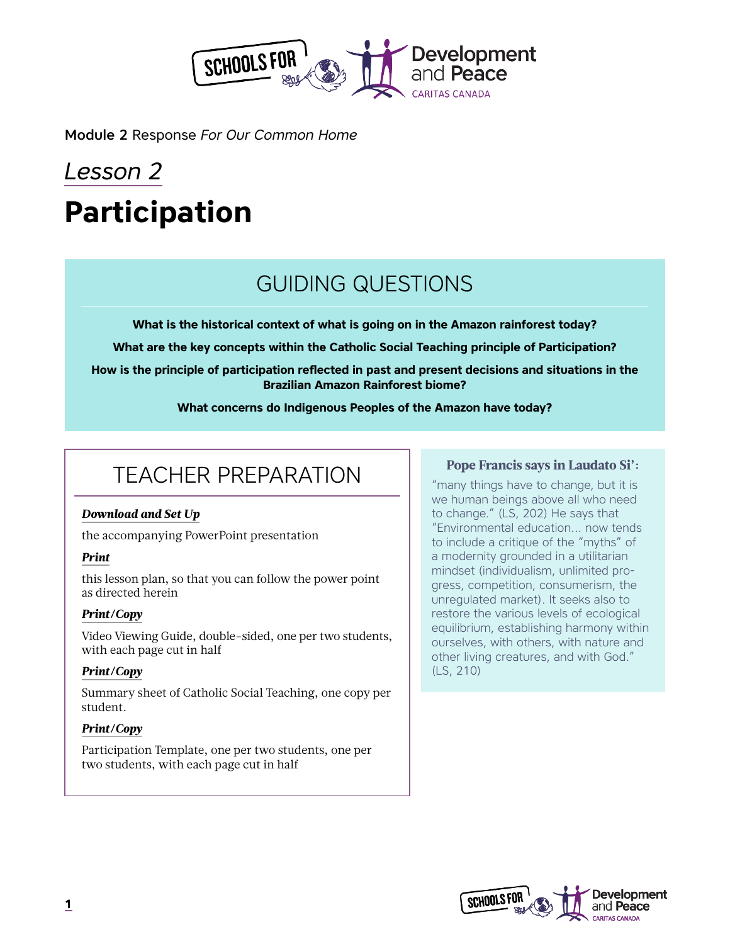

Module 2 Response *For Our Common Home*

# *Lesson 2* **Participation**

# GUIDING QUESTIONS

**What is the historical context of what is going on in the Amazon rainforest today?**

**What are the key concepts within the Catholic Social Teaching principle of Participation?**

**How is the principle of participation reflected in past and present decisions and situations in the Brazilian Amazon Rainforest biome?**

**What concerns do Indigenous Peoples of the Amazon have today?**

# TEACHER PREPARATION

#### *Download and Set Up*

the accompanying PowerPoint presentation

#### *Print*

this lesson plan, so that you can follow the power point as directed herein

#### *Print/Copy*

Video Viewing Guide, double-sided, one per two students, with each page cut in half

#### *Print/Copy*

Summary sheet of Catholic Social Teaching, one copy per student.

#### *Print/Copy*

Participation Template, one per two students, one per two students, with each page cut in half

#### Pope Francis says in Laudato Si':

"many things have to change, but it is we human beings above all who need to change." (LS, 202) He says that "Environmental education... now tends to include a critique of the "myths" of a modernity grounded in a utilitarian mindset (individualism, unlimited progress, competition, consumerism, the unregulated market). It seeks also to restore the various levels of ecological equilibrium, establishing harmony within ourselves, with others, with nature and other living creatures, and with God." (LS, 210)

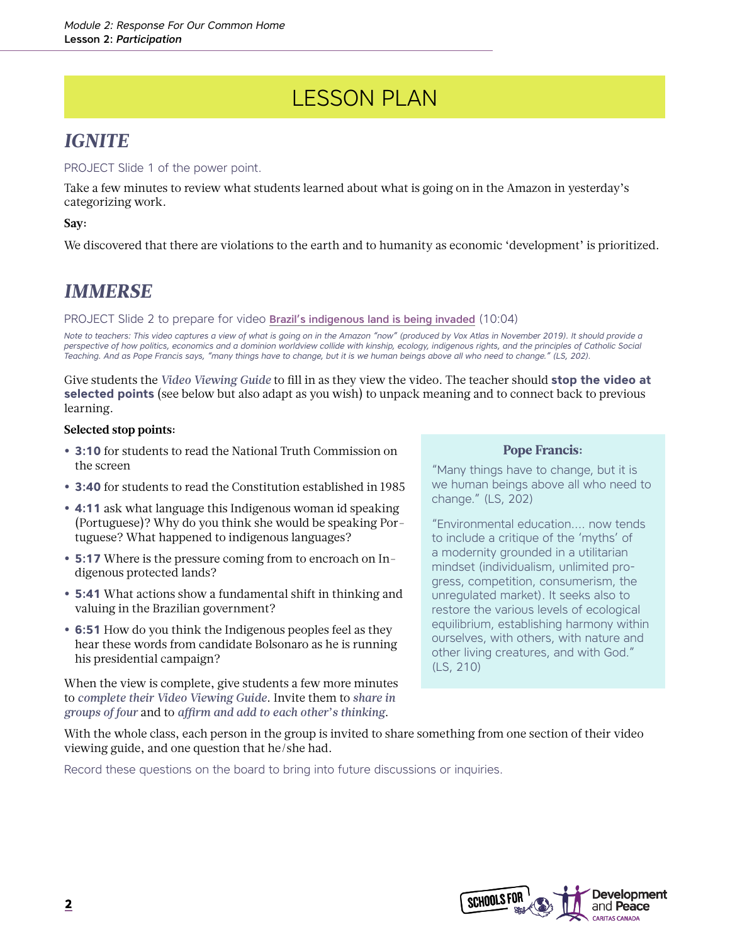# LESSON PLAN

### *IGNITE*

#### PROJECT Slide 1 of the power point.

Take a few minutes to review what students learned about what is going on in the Amazon in yesterday's categorizing work.

#### **Say:**

We discovered that there are violations to the earth and to humanity as economic 'development' is prioritized.

### *IMMERSE*

PROJECT Slide 2 to prepare for video [Brazil's indigenous land is being invaded](https://www.youtube.com/watch?v=oGjRNbXeRXI) (10:04)

*Note to teachers: This video captures a view of what is going on in the Amazon "now" (produced by Vox Atlas in November 2019). It should provide a perspective of how politics, economics and a dominion worldview collide with kinship, ecology, indigenous rights, and the principles of Catholic Social Teaching. And as Pope Francis says, "many things have to change, but it is we human beings above all who need to change." (LS, 202).* 

Give students the *Video Viewing Guide* to fill in as they view the video. The teacher should **stop the video at selected points** (see below but also adapt as you wish) to unpack meaning and to connect back to previous learning.

#### **Selected stop points:**

- **• 3:10** for students to read the National Truth Commission on the screen
- **• 3:40** for students to read the Constitution established in 1985
- **• 4:11** ask what language this Indigenous woman id speaking (Portuguese)? Why do you think she would be speaking Portuguese? What happened to indigenous languages?
- **• 5:17** Where is the pressure coming from to encroach on Indigenous protected lands?
- **• 5:41** What actions show a fundamental shift in thinking and valuing in the Brazilian government?
- **• 6:51** How do you think the Indigenous peoples feel as they hear these words from candidate Bolsonaro as he is running his presidential campaign?

When the view is complete, give students a few more minutes to *complete their Video Viewing Guide*. Invite them to *share in groups of four* and to *affirm and add to each other's thinking*.

#### Pope Francis:

"Many things have to change, but it is we human beings above all who need to change." (LS, 202)

"Environmental education.... now tends to include a critique of the 'myths' of a modernity grounded in a utilitarian mindset (individualism, unlimited progress, competition, consumerism, the unregulated market). It seeks also to restore the various levels of ecological equilibrium, establishing harmony within ourselves, with others, with nature and other living creatures, and with God." (LS, 210)

With the whole class, each person in the group is invited to share something from one section of their video viewing guide, and one question that he/she had.

Record these questions on the board to bring into future discussions or inquiries.

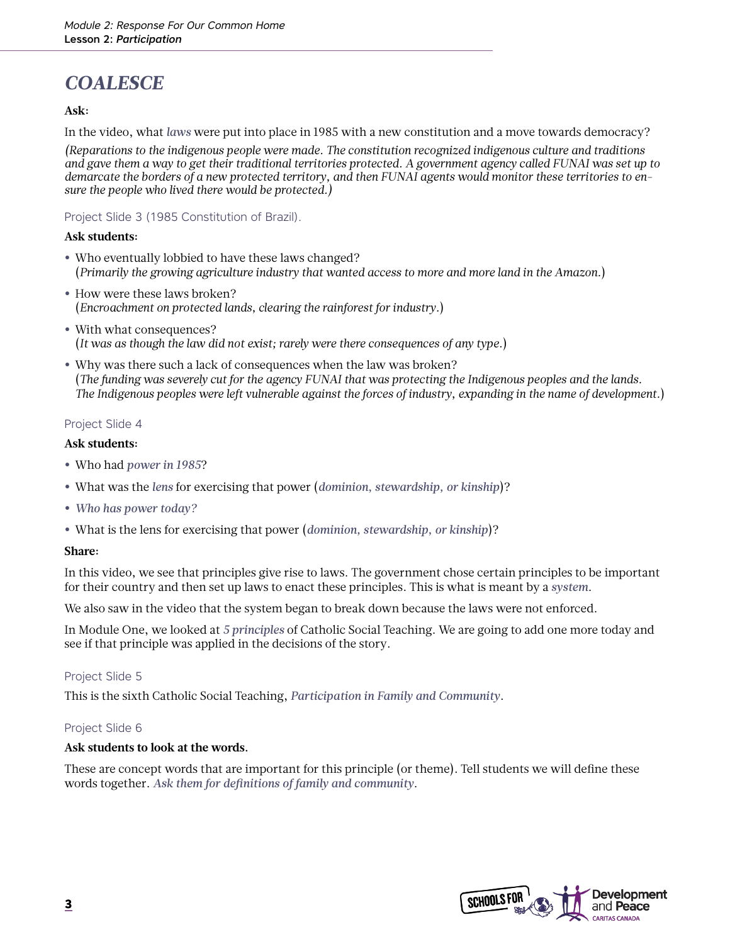## *COALESCE*

#### **Ask:**

In the video, what *laws* were put into place in 1985 with a new constitution and a move towards democracy?

*(Reparations to the indigenous people were made. The constitution recognized indigenous culture and traditions and gave them a way to get their traditional territories protected. A government agency called FUNAI was set up to demarcate the borders of a new protected territory, and then FUNAI agents would monitor these territories to ensure the people who lived there would be protected.)* 

#### Project Slide 3 (1985 Constitution of Brazil).

#### **Ask students:**

- **•** Who eventually lobbied to have these laws changed? (*Primarily the growing agriculture industry that wanted access to more and more land in the Amazon.*)
- **•** How were these laws broken? (*Encroachment on protected lands, clearing the rainforest for industry.*)
- **•** With what consequences? (*It was as though the law did not exist; rarely were there consequences of any type.*)
- **•** Why was there such a lack of consequences when the law was broken? (*The funding was severely cut for the agency FUNAI that was protecting the Indigenous peoples and the lands. The Indigenous peoples were left vulnerable against the forces of industry, expanding in the name of development.*)

#### Project Slide 4

#### **Ask students:**

- **•** Who had *power in 1985*?
- **•** What was the *lens* for exercising that power (*dominion, stewardship, or kinship*)?
- **•** *Who has power today?*
- **•** What is the lens for exercising that power (*dominion, stewardship, or kinship*)?

#### **Share:**

In this video, we see that principles give rise to laws. The government chose certain principles to be important for their country and then set up laws to enact these principles. This is what is meant by a *system*.

We also saw in the video that the system began to break down because the laws were not enforced.

In Module One, we looked at *5 principles* of Catholic Social Teaching. We are going to add one more today and see if that principle was applied in the decisions of the story.

#### Project Slide 5

This is the sixth Catholic Social Teaching, *Participation in Family and Community*.

#### Project Slide 6

#### **Ask students to look at the words.**

These are concept words that are important for this principle (or theme). Tell students we will define these words together. *Ask them for definitions of family and community*.

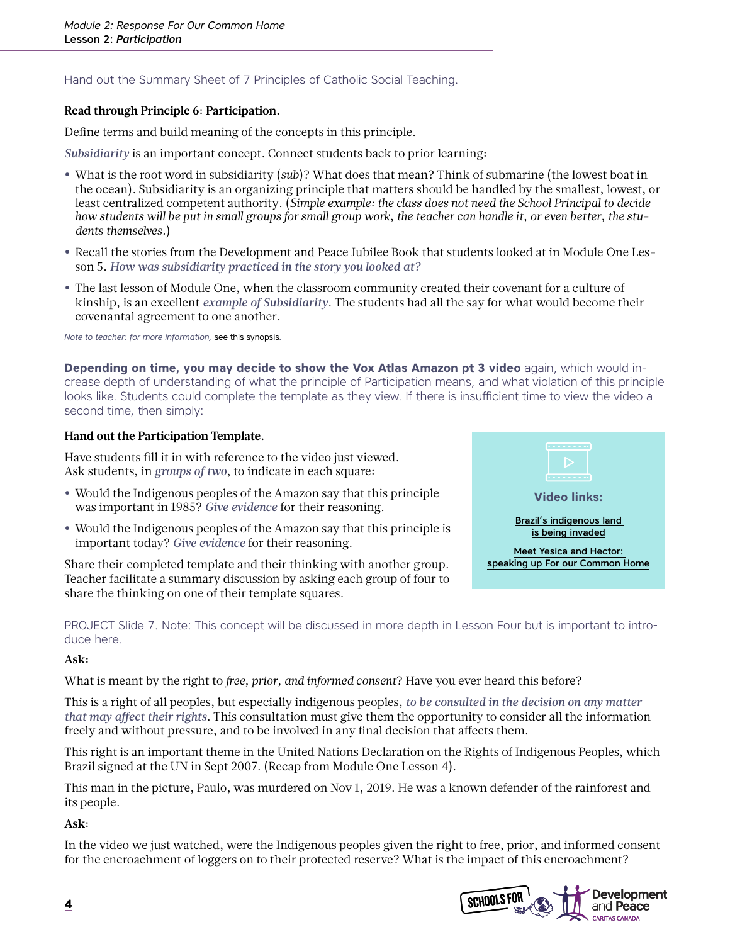#### Hand out the Summary Sheet of 7 Principles of Catholic Social Teaching.

#### **Read through Principle 6: Participation.**

Define terms and build meaning of the concepts in this principle.

*Subsidiarity* is an important concept. Connect students back to prior learning:

- **•** What is the root word in subsidiarity (*sub*)? What does that mean? Think of submarine (the lowest boat in the ocean). Subsidiarity is an organizing principle that matters should be handled by the smallest, lowest, or least centralized competent authority. (*Simple example: the class does not need the School Principal to decide how students will be put in small groups for small group work, the teacher can handle it, or even better, the students themselves.*)
- **•** Recall the stories from the Development and Peace Jubilee Book that students looked at in Module One Lesson 5. *How was subsidiarity practiced in the story you looked at?*
- **•** The last lesson of Module One, when the classroom community created their covenant for a culture of kinship, is an excellent *example of Subsidiarity*. The students had all the say for what would become their covenantal agreement to one another.

*Note to teacher: for more information,* [see this synopsis](https://www.devp.org/en/cst/subsidiarity)*.* 

**Depending on time, you may decide to show the Vox Atlas Amazon pt 3 video** again, which would increase depth of understanding of what the principle of Participation means, and what violation of this principle looks like. Students could complete the template as they view. If there is insufficient time to view the video a second time, then simply:

#### **Hand out the Participation Template.**

Have students fill it in with reference to the video just viewed. Ask students, in *groups of two*, to indicate in each square:

- **•** Would the Indigenous peoples of the Amazon say that this principle was important in 1985? *Give evidence* for their reasoning.
- **•** Would the Indigenous peoples of the Amazon say that this principle is important today? *Give evidence* for their reasoning.

Share their completed template and their thinking with another group. Teacher facilitate a summary discussion by asking each group of four to share the thinking on one of their template squares.



PROJECT Slide 7. Note: This concept will be discussed in more depth in Lesson Four but is important to introduce here.

#### **Ask:**

What is meant by the right to *free, prior, and informed consent*? Have you ever heard this before?

This is a right of all peoples, but especially indigenous peoples, *to be consulted in the decision on any matter that may affect their rights*. This consultation must give them the opportunity to consider all the information freely and without pressure, and to be involved in any final decision that affects them.

This right is an important theme in the United Nations Declaration on the Rights of Indigenous Peoples, which Brazil signed at the UN in Sept 2007. (Recap from Module One Lesson 4).

This man in the picture, Paulo, was murdered on Nov 1, 2019. He was a known defender of the rainforest and its people.

**Ask:** 

In the video we just watched, were the Indigenous peoples given the right to free, prior, and informed consent for the encroachment of loggers on to their protected reserve? What is the impact of this encroachment?

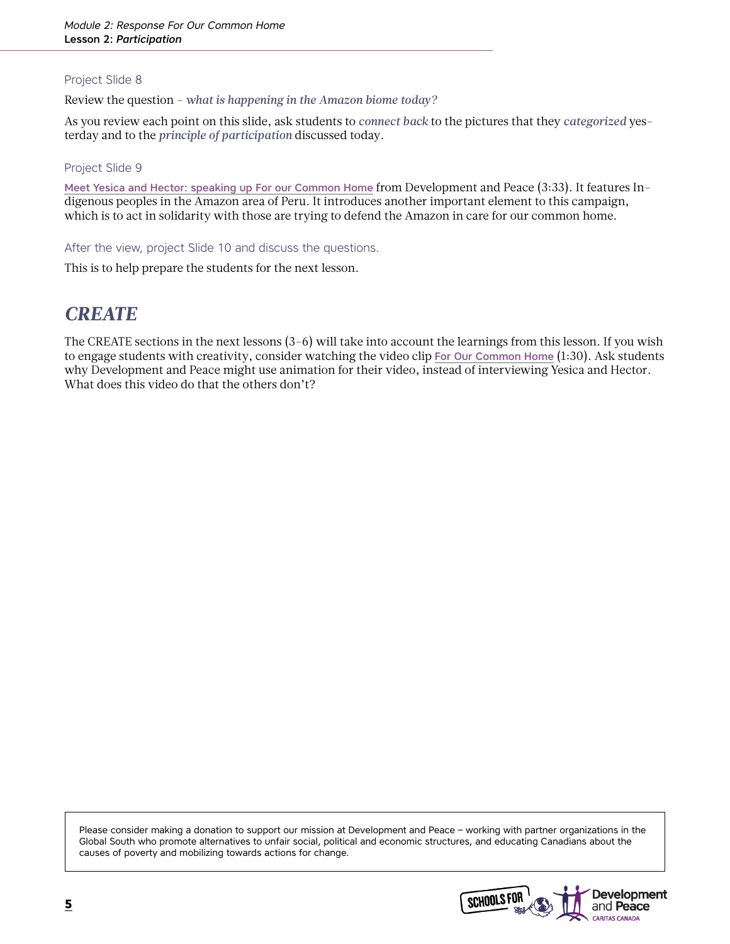#### Project Slide 8

Review the question - *what is happening in the Amazon biome today?*

As you review each point on this slide, ask students to *connect back* to the pictures that they *categorized* yesterday and to the *principle of participation* discussed today.

#### Project Slide 9

[Meet Yesica and Hector: speaking up For our Common Home](https://www.youtube.com/watch?v=MCA-_wwW-uo) from Development and Peace (3:33). It features Indigenous peoples in the Amazon area of Peru. It introduces another important element to this campaign, which is to act in solidarity with those are trying to defend the Amazon in care for our common home.

After the view, project Slide 10 and discuss the questions.

This is to help prepare the students for the next lesson.

### *CREATE*

The CREATE sections in the next lessons (3-6) will take into account the learnings from this lesson. If you wish to engage students with creativity, consider watching the video clip [For Our Common Home](https://www.youtube.com/watch?v=kxcRkBdnX0I) (1:30). Ask students why Development and Peace might use animation for their video, instead of interviewing Yesica and Hector. What does this video do that the others don't?

Please consider making a donation to support our mission at Development and Peace – working with partner organizations in the Global South who promote alternatives to unfair social, political and economic structures, and educating Canadians about the causes of poverty and mobilizing towards actions for change.

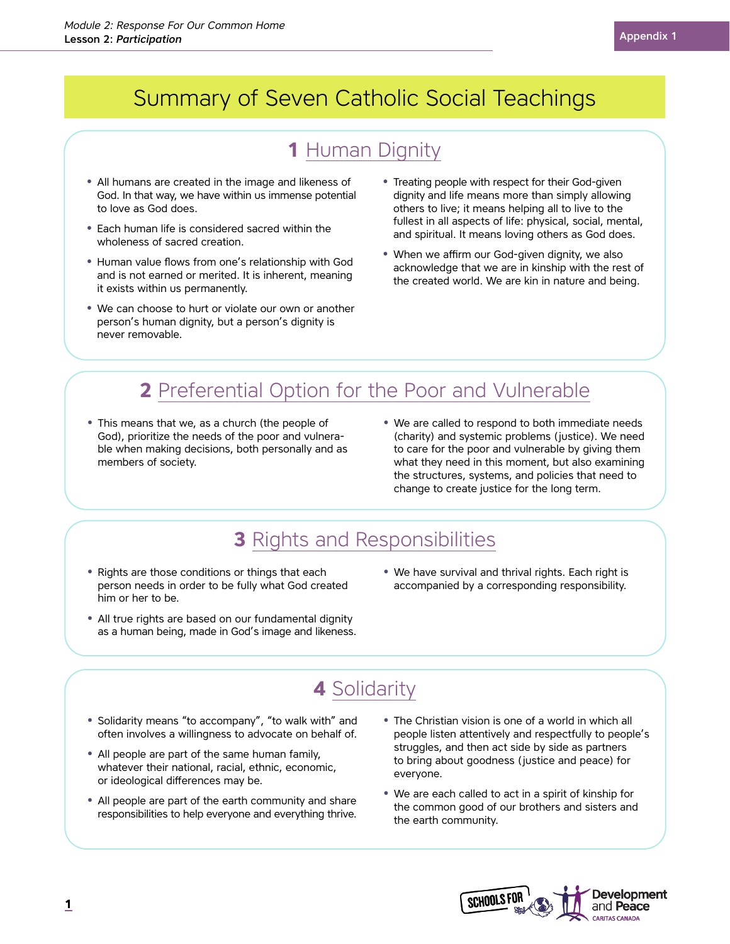# Summary of Seven Catholic Social Teachings

# **1** Human Dignity

- **•** All humans are created in the image and likeness of God. In that way, we have within us immense potential to love as God does.
- **•** Each human life is considered sacred within the wholeness of sacred creation.
- **•** Human value flows from one's relationship with God and is not earned or merited. It is inherent, meaning it exists within us permanently.
- **•** We can choose to hurt or violate our own or another person's human dignity, but a person's dignity is never removable.
- **•** Treating people with respect for their God-given dignity and life means more than simply allowing others to live; it means helping all to live to the fullest in all aspects of life: physical, social, mental, and spiritual. It means loving others as God does.
- **•** When we affirm our God-given dignity, we also acknowledge that we are in kinship with the rest of the created world. We are kin in nature and being.

# **2** Preferential Option for the Poor and Vulnerable

- **•** This means that we, as a church (the people of God), prioritize the needs of the poor and vulnerable when making decisions, both personally and as members of society.
- **•** We are called to respond to both immediate needs (charity) and systemic problems (justice). We need to care for the poor and vulnerable by giving them what they need in this moment, but also examining the structures, systems, and policies that need to change to create justice for the long term.

### **3** Rights and Responsibilities

- **•** Rights are those conditions or things that each person needs in order to be fully what God created him or her to be.
- **•** We have survival and thrival rights. Each right is accompanied by a corresponding responsibility.
- **•** All true rights are based on our fundamental dignity as a human being, made in God's image and likeness.

# **4** Solidarity

- **•** Solidarity means "to accompany", "to walk with" and often involves a willingness to advocate on behalf of.
- **•** All people are part of the same human family, whatever their national, racial, ethnic, economic, or ideological differences may be.
- **•** All people are part of the earth community and share responsibilities to help everyone and everything thrive.
- **•** The Christian vision is one of a world in which all people listen attentively and respectfully to people's struggles, and then act side by side as partners to bring about goodness (justice and peace) for everyone.
- **•** We are each called to act in a spirit of kinship for the common good of our brothers and sisters and the earth community.

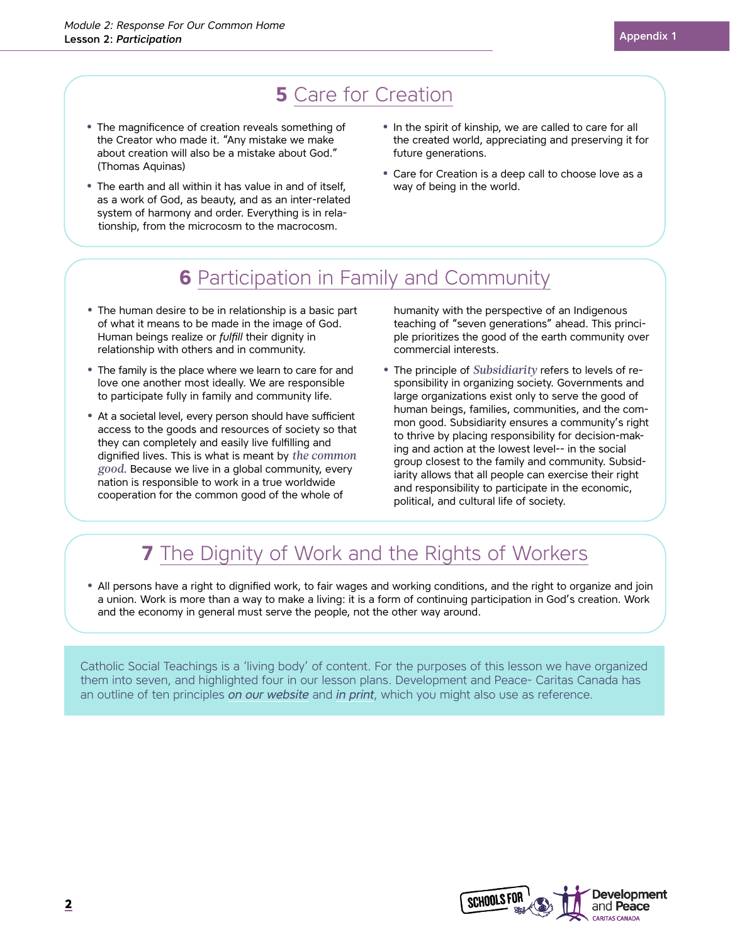# **5** Care for Creation

- **•** The magnificence of creation reveals something of the Creator who made it. "Any mistake we make about creation will also be a mistake about God." (Thomas Aquinas)
- **•** The earth and all within it has value in and of itself, as a work of God, as beauty, and as an inter-related system of harmony and order. Everything is in relationship, from the microcosm to the macrocosm.
- **•** In the spirit of kinship, we are called to care for all the created world, appreciating and preserving it for future generations.
- **•** Care for Creation is a deep call to choose love as a way of being in the world.

### **6** Participation in Family and Community

- **•** The human desire to be in relationship is a basic part of what it means to be made in the image of God. Human beings realize or *fulfill* their dignity in relationship with others and in community.
- **•** The family is the place where we learn to care for and love one another most ideally. We are responsible to participate fully in family and community life.
- **•** At a societal level, every person should have sufficient access to the goods and resources of society so that they can completely and easily live fulfilling and dignified lives. This is what is meant by *the common good*. Because we live in a global community, every nation is responsible to work in a true worldwide cooperation for the common good of the whole of

humanity with the perspective of an Indigenous teaching of "seven generations" ahead. This principle prioritizes the good of the earth community over commercial interests.

**•** The principle of *Subsidiarity* refers to levels of responsibility in organizing society. Governments and large organizations exist only to serve the good of human beings, families, communities, and the common good. Subsidiarity ensures a community's right to thrive by placing responsibility for decision-making and action at the lowest level-- in the social group closest to the family and community. Subsidiarity allows that all people can exercise their right and responsibility to participate in the economic, political, and cultural life of society.

### **7** The Dignity of Work and the Rights of Workers

**•** All persons have a right to dignified work, to fair wages and working conditions, and the right to organize and join a union. Work is more than a way to make a living: it is a form of continuing participation in God's creation. Work and the economy in general must serve the people, not the other way around.

Catholic Social Teachings is a 'living body' of content. For the purposes of this lesson we have organized them into seven, and highlighted four in our lesson plans. Development and Peace- Caritas Canada has an outline of ten principles *[on our website](https://www.devp.org/en/cst)* and *[in print](https://www.devp.org/sites/www.devp.org/files/documents/materials/devpeace_cst_principles.pdf)*, which you might also use as reference.

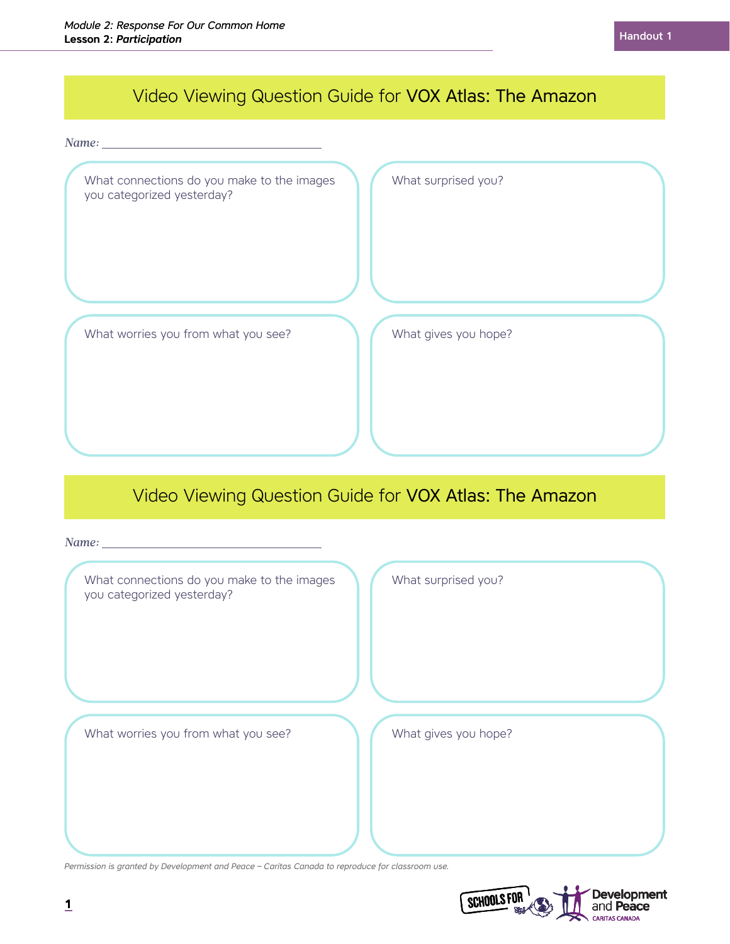## Video Viewing Question Guide for VOX Atlas: The Amazon

*Name:* 

| What connections do you make to the images<br>you categorized yesterday? | What surprised you?  |
|--------------------------------------------------------------------------|----------------------|
|                                                                          |                      |
| What worries you from what you see?                                      | What gives you hope? |

### Video Viewing Question Guide for VOX Atlas: The Amazon

| $Name: \_\_$                                                             |                      |
|--------------------------------------------------------------------------|----------------------|
| What connections do you make to the images<br>you categorized yesterday? | What surprised you?  |
| What worries you from what you see?                                      | What gives you hope? |

*Permission is granted by Development and Peace – Caritas Canada to reproduce for classroom use.*

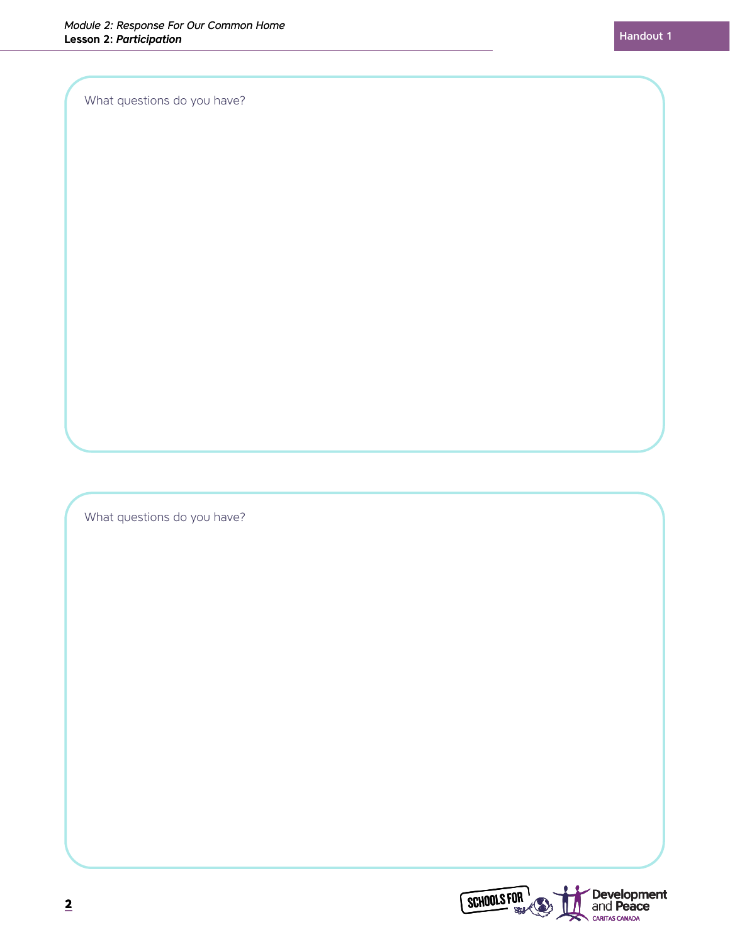What questions do you have?

What questions do you have?

**Development**<br>and **Peace**<br>CARITAS CANADA SCHOOLS FOR